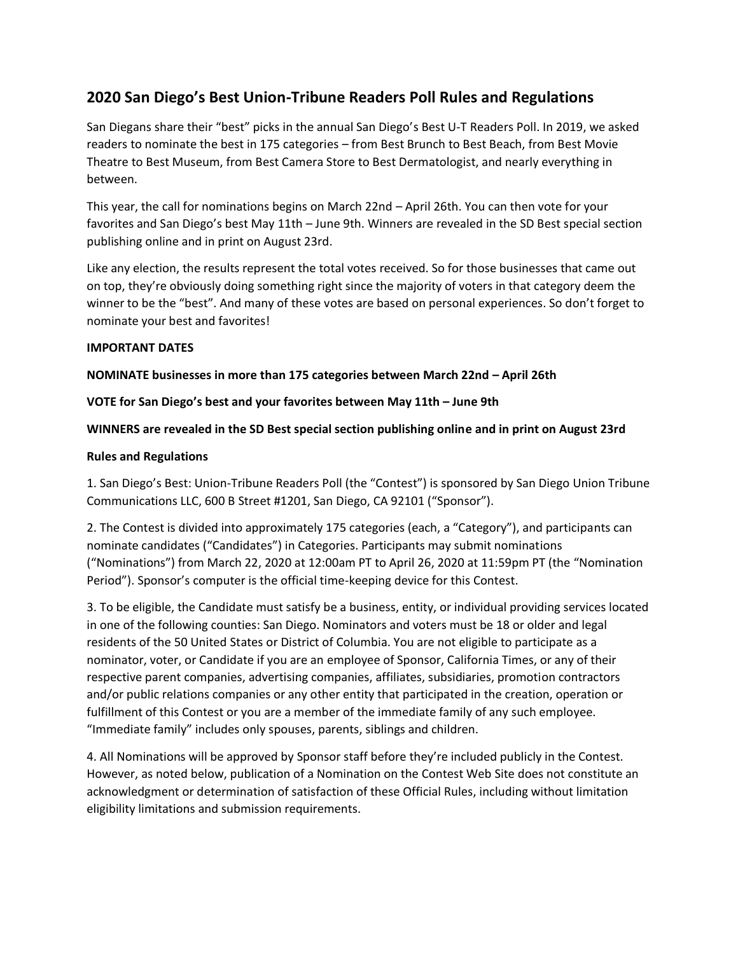# **2020 San Diego's Best Union-Tribune Readers Poll Rules and Regulations**

San Diegans share their "best" picks in the annual San Diego's Best U-T Readers Poll. In 2019, we asked readers to nominate the best in 175 categories – from Best Brunch to Best Beach, from Best Movie Theatre to Best Museum, from Best Camera Store to Best Dermatologist, and nearly everything in between.

This year, the call for nominations begins on March 22nd – April 26th. You can then vote for your favorites and San Diego's best May 11th – June 9th. Winners are revealed in the SD Best special section publishing online and in print on August 23rd.

Like any election, the results represent the total votes received. So for those businesses that came out on top, they're obviously doing something right since the majority of voters in that category deem the winner to be the "best". And many of these votes are based on personal experiences. So don't forget to nominate your best and favorites!

## **IMPORTANT DATES**

## **NOMINATE businesses in more than 175 categories between March 22nd – April 26th**

## **VOTE for San Diego's best and your favorites between May 11th – June 9th**

## **WINNERS are revealed in the SD Best special section publishing online and in print on August 23rd**

### **Rules and Regulations**

1. San Diego's Best: Union-Tribune Readers Poll (the "Contest") is sponsored by San Diego Union Tribune Communications LLC, 600 B Street #1201, San Diego, CA 92101 ("Sponsor").

2. The Contest is divided into approximately 175 categories (each, a "Category"), and participants can nominate candidates ("Candidates") in Categories. Participants may submit nominations ("Nominations") from March 22, 2020 at 12:00am PT to April 26, 2020 at 11:59pm PT (the "Nomination Period"). Sponsor's computer is the official time-keeping device for this Contest.

3. To be eligible, the Candidate must satisfy be a business, entity, or individual providing services located in one of the following counties: San Diego. Nominators and voters must be 18 or older and legal residents of the 50 United States or District of Columbia. You are not eligible to participate as a nominator, voter, or Candidate if you are an employee of Sponsor, California Times, or any of their respective parent companies, advertising companies, affiliates, subsidiaries, promotion contractors and/or public relations companies or any other entity that participated in the creation, operation or fulfillment of this Contest or you are a member of the immediate family of any such employee. "Immediate family" includes only spouses, parents, siblings and children.

4. All Nominations will be approved by Sponsor staff before they're included publicly in the Contest. However, as noted below, publication of a Nomination on the Contest Web Site does not constitute an acknowledgment or determination of satisfaction of these Official Rules, including without limitation eligibility limitations and submission requirements.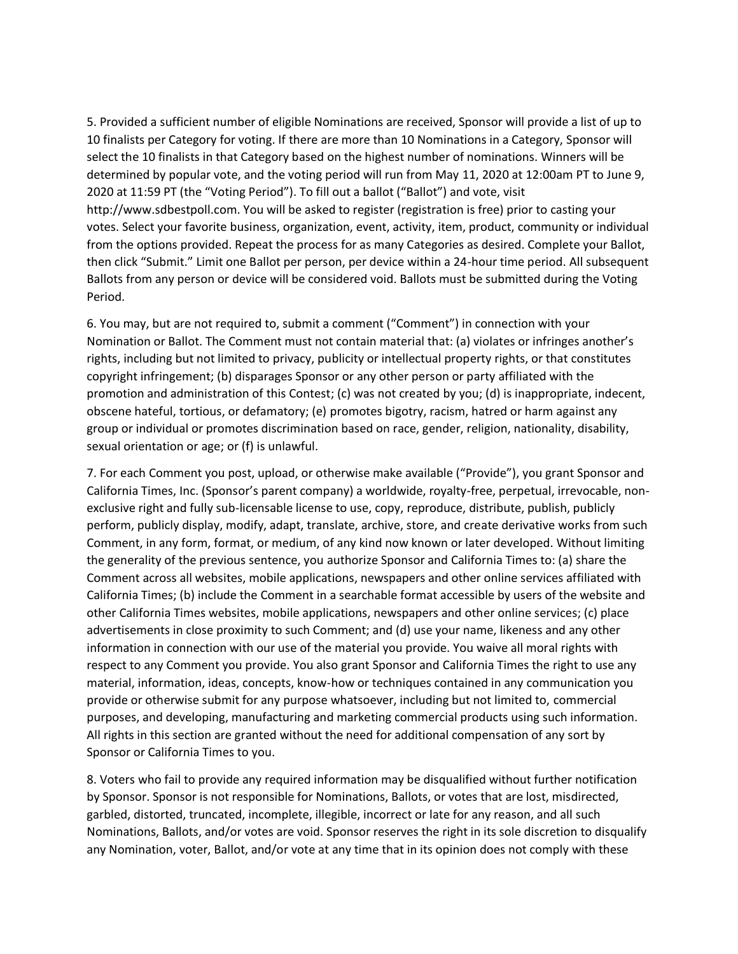5. Provided a sufficient number of eligible Nominations are received, Sponsor will provide a list of up to 10 finalists per Category for voting. If there are more than 10 Nominations in a Category, Sponsor will select the 10 finalists in that Category based on the highest number of nominations. Winners will be determined by popular vote, and the voting period will run from May 11, 2020 at 12:00am PT to June 9, 2020 at 11:59 PT (the "Voting Period"). To fill out a ballot ("Ballot") and vote, visit http://www.sdbestpoll.com. You will be asked to register (registration is free) prior to casting your votes. Select your favorite business, organization, event, activity, item, product, community or individual from the options provided. Repeat the process for as many Categories as desired. Complete your Ballot, then click "Submit." Limit one Ballot per person, per device within a 24-hour time period. All subsequent Ballots from any person or device will be considered void. Ballots must be submitted during the Voting Period.

6. You may, but are not required to, submit a comment ("Comment") in connection with your Nomination or Ballot. The Comment must not contain material that: (a) violates or infringes another's rights, including but not limited to privacy, publicity or intellectual property rights, or that constitutes copyright infringement; (b) disparages Sponsor or any other person or party affiliated with the promotion and administration of this Contest; (c) was not created by you; (d) is inappropriate, indecent, obscene hateful, tortious, or defamatory; (e) promotes bigotry, racism, hatred or harm against any group or individual or promotes discrimination based on race, gender, religion, nationality, disability, sexual orientation or age; or (f) is unlawful.

7. For each Comment you post, upload, or otherwise make available ("Provide"), you grant Sponsor and California Times, Inc. (Sponsor's parent company) a worldwide, royalty-free, perpetual, irrevocable, nonexclusive right and fully sub-licensable license to use, copy, reproduce, distribute, publish, publicly perform, publicly display, modify, adapt, translate, archive, store, and create derivative works from such Comment, in any form, format, or medium, of any kind now known or later developed. Without limiting the generality of the previous sentence, you authorize Sponsor and California Times to: (a) share the Comment across all websites, mobile applications, newspapers and other online services affiliated with California Times; (b) include the Comment in a searchable format accessible by users of the website and other California Times websites, mobile applications, newspapers and other online services; (c) place advertisements in close proximity to such Comment; and (d) use your name, likeness and any other information in connection with our use of the material you provide. You waive all moral rights with respect to any Comment you provide. You also grant Sponsor and California Times the right to use any material, information, ideas, concepts, know-how or techniques contained in any communication you provide or otherwise submit for any purpose whatsoever, including but not limited to, commercial purposes, and developing, manufacturing and marketing commercial products using such information. All rights in this section are granted without the need for additional compensation of any sort by Sponsor or California Times to you.

8. Voters who fail to provide any required information may be disqualified without further notification by Sponsor. Sponsor is not responsible for Nominations, Ballots, or votes that are lost, misdirected, garbled, distorted, truncated, incomplete, illegible, incorrect or late for any reason, and all such Nominations, Ballots, and/or votes are void. Sponsor reserves the right in its sole discretion to disqualify any Nomination, voter, Ballot, and/or vote at any time that in its opinion does not comply with these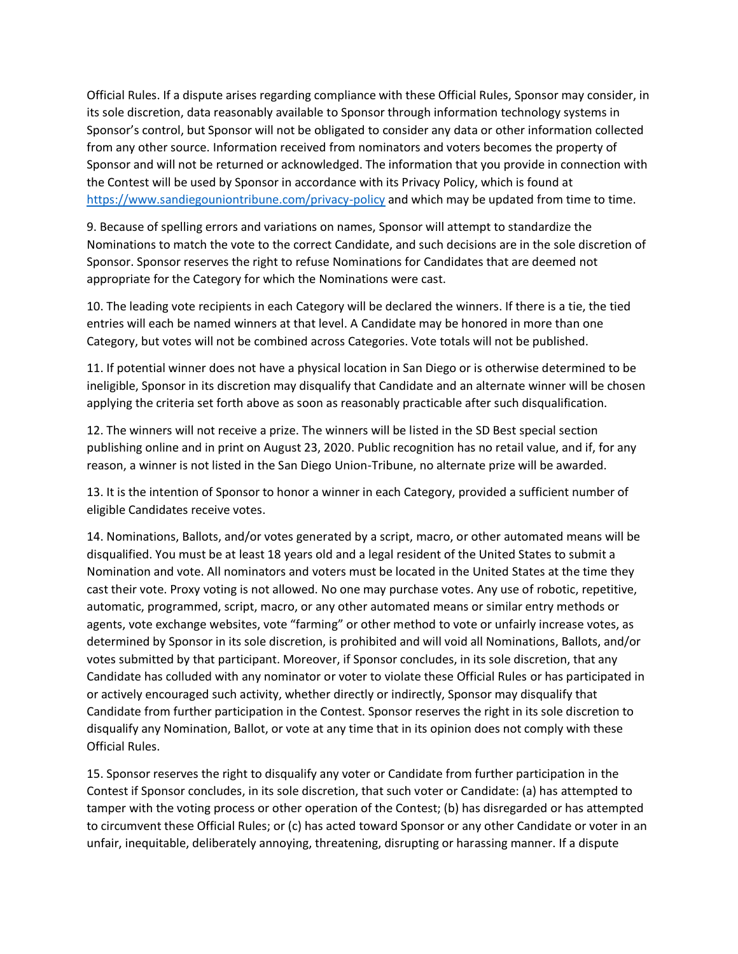Official Rules. If a dispute arises regarding compliance with these Official Rules, Sponsor may consider, in its sole discretion, data reasonably available to Sponsor through information technology systems in Sponsor's control, but Sponsor will not be obligated to consider any data or other information collected from any other source. Information received from nominators and voters becomes the property of Sponsor and will not be returned or acknowledged. The information that you provide in connection with the Contest will be used by Sponsor in accordance with its Privacy Policy, which is found at <https://www.sandiegouniontribune.com/privacy-policy> and which may be updated from time to time.

9. Because of spelling errors and variations on names, Sponsor will attempt to standardize the Nominations to match the vote to the correct Candidate, and such decisions are in the sole discretion of Sponsor. Sponsor reserves the right to refuse Nominations for Candidates that are deemed not appropriate for the Category for which the Nominations were cast.

10. The leading vote recipients in each Category will be declared the winners. If there is a tie, the tied entries will each be named winners at that level. A Candidate may be honored in more than one Category, but votes will not be combined across Categories. Vote totals will not be published.

11. If potential winner does not have a physical location in San Diego or is otherwise determined to be ineligible, Sponsor in its discretion may disqualify that Candidate and an alternate winner will be chosen applying the criteria set forth above as soon as reasonably practicable after such disqualification.

12. The winners will not receive a prize. The winners will be listed in the SD Best special section publishing online and in print on August 23, 2020. Public recognition has no retail value, and if, for any reason, a winner is not listed in the San Diego Union-Tribune, no alternate prize will be awarded.

13. It is the intention of Sponsor to honor a winner in each Category, provided a sufficient number of eligible Candidates receive votes.

14. Nominations, Ballots, and/or votes generated by a script, macro, or other automated means will be disqualified. You must be at least 18 years old and a legal resident of the United States to submit a Nomination and vote. All nominators and voters must be located in the United States at the time they cast their vote. Proxy voting is not allowed. No one may purchase votes. Any use of robotic, repetitive, automatic, programmed, script, macro, or any other automated means or similar entry methods or agents, vote exchange websites, vote "farming" or other method to vote or unfairly increase votes, as determined by Sponsor in its sole discretion, is prohibited and will void all Nominations, Ballots, and/or votes submitted by that participant. Moreover, if Sponsor concludes, in its sole discretion, that any Candidate has colluded with any nominator or voter to violate these Official Rules or has participated in or actively encouraged such activity, whether directly or indirectly, Sponsor may disqualify that Candidate from further participation in the Contest. Sponsor reserves the right in its sole discretion to disqualify any Nomination, Ballot, or vote at any time that in its opinion does not comply with these Official Rules.

15. Sponsor reserves the right to disqualify any voter or Candidate from further participation in the Contest if Sponsor concludes, in its sole discretion, that such voter or Candidate: (a) has attempted to tamper with the voting process or other operation of the Contest; (b) has disregarded or has attempted to circumvent these Official Rules; or (c) has acted toward Sponsor or any other Candidate or voter in an unfair, inequitable, deliberately annoying, threatening, disrupting or harassing manner. If a dispute